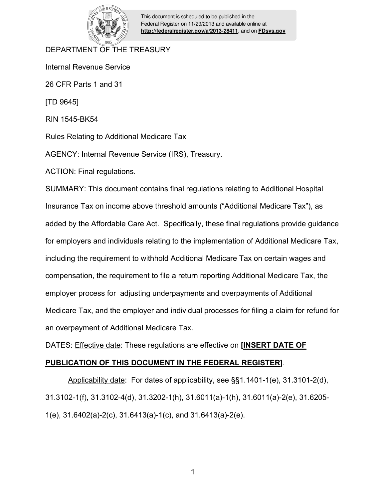

This document is scheduled to be published in the Federal Register on 11/29/2013 and available online at **<http://federalregister.gov/a/2013-28411>**, and on **[FDsys.gov](http://federalregister.gov/a/2013-28411.pdf)**

# DEPARTMENT OF THE TREASURY

Internal Revenue Service

26 CFR Parts 1 and 31

[TD 9645]

RIN 1545-BK54

Rules Relating to Additional Medicare Tax

AGENCY: Internal Revenue Service (IRS), Treasury.

ACTION: Final regulations.

SUMMARY: This document contains final regulations relating to Additional Hospital Insurance Tax on income above threshold amounts ("Additional Medicare Tax"), as added by the Affordable Care Act. Specifically, these final regulations provide guidance for employers and individuals relating to the implementation of Additional Medicare Tax, including the requirement to withhold Additional Medicare Tax on certain wages and compensation, the requirement to file a return reporting Additional Medicare Tax, the employer process for adjusting underpayments and overpayments of Additional Medicare Tax, and the employer and individual processes for filing a claim for refund for an overpayment of Additional Medicare Tax.

DATES: Effective date: These regulations are effective on **[INSERT DATE OF** 

# **PUBLICATION OF THIS DOCUMENT IN THE FEDERAL REGISTER]**.

 Applicability date: For dates of applicability, see §§1.1401-1(e), 31.3101-2(d), 31.3102-1(f), 31.3102-4(d), 31.3202-1(h), 31.6011(a)-1(h), 31.6011(a)-2(e), 31.6205- 1(e), 31.6402(a)-2(c), 31.6413(a)-1(c), and 31.6413(a)-2(e).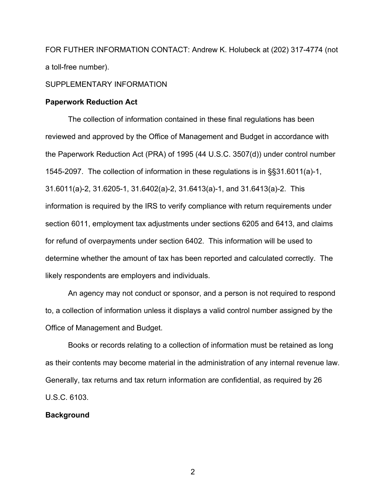FOR FUTHER INFORMATION CONTACT: Andrew K. Holubeck at (202) 317-4774 (not a toll-free number).

### SUPPLEMENTARY INFORMATION

### **Paperwork Reduction Act**

The collection of information contained in these final regulations has been reviewed and approved by the Office of Management and Budget in accordance with the Paperwork Reduction Act (PRA) of 1995 (44 U.S.C. 3507(d)) under control number 1545-2097. The collection of information in these regulations is in §§31.6011(a)-1, 31.6011(a)-2, 31.6205-1, 31.6402(a)-2, 31.6413(a)-1, and 31.6413(a)-2. This information is required by the IRS to verify compliance with return requirements under section 6011, employment tax adjustments under sections 6205 and 6413, and claims for refund of overpayments under section 6402. This information will be used to determine whether the amount of tax has been reported and calculated correctly. The likely respondents are employers and individuals.

An agency may not conduct or sponsor, and a person is not required to respond to, a collection of information unless it displays a valid control number assigned by the Office of Management and Budget.

Books or records relating to a collection of information must be retained as long as their contents may become material in the administration of any internal revenue law. Generally, tax returns and tax return information are confidential, as required by 26 U.S.C. 6103.

### **Background**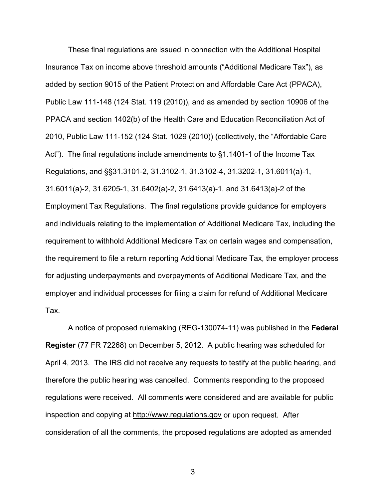These final regulations are issued in connection with the Additional Hospital Insurance Tax on income above threshold amounts ("Additional Medicare Tax"), as added by section 9015 of the Patient Protection and Affordable Care Act (PPACA), Public Law 111-148 (124 Stat. 119 (2010)), and as amended by section 10906 of the PPACA and section 1402(b) of the Health Care and Education Reconciliation Act of 2010, Public Law 111-152 (124 Stat. 1029 (2010)) (collectively, the "Affordable Care Act"). The final regulations include amendments to §1.1401-1 of the Income Tax Regulations, and §§31.3101-2, 31.3102-1, 31.3102-4, 31.3202-1, 31.6011(a)-1, 31.6011(a)-2, 31.6205-1, 31.6402(a)-2, 31.6413(a)-1, and 31.6413(a)-2 of the Employment Tax Regulations. The final regulations provide guidance for employers and individuals relating to the implementation of Additional Medicare Tax, including the requirement to withhold Additional Medicare Tax on certain wages and compensation, the requirement to file a return reporting Additional Medicare Tax, the employer process for adjusting underpayments and overpayments of Additional Medicare Tax, and the employer and individual processes for filing a claim for refund of Additional Medicare Tax.

A notice of proposed rulemaking (REG-130074-11) was published in the **Federal Register** (77 FR 72268) on December 5, 2012. A public hearing was scheduled for April 4, 2013. The IRS did not receive any requests to testify at the public hearing, and therefore the public hearing was cancelled. Comments responding to the proposed regulations were received. All comments were considered and are available for public inspection and copying at http://www.regulations.gov or upon request. After consideration of all the comments, the proposed regulations are adopted as amended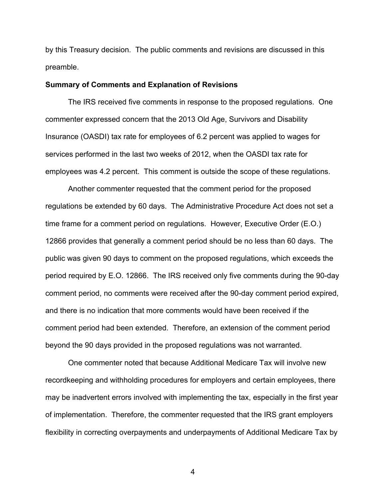by this Treasury decision. The public comments and revisions are discussed in this preamble.

#### **Summary of Comments and Explanation of Revisions**

 The IRS received five comments in response to the proposed regulations. One commenter expressed concern that the 2013 Old Age, Survivors and Disability Insurance (OASDI) tax rate for employees of 6.2 percent was applied to wages for services performed in the last two weeks of 2012, when the OASDI tax rate for employees was 4.2 percent. This comment is outside the scope of these regulations.

 Another commenter requested that the comment period for the proposed regulations be extended by 60 days. The Administrative Procedure Act does not set a time frame for a comment period on regulations. However, Executive Order (E.O.) 12866 provides that generally a comment period should be no less than 60 days. The public was given 90 days to comment on the proposed regulations, which exceeds the period required by E.O. 12866. The IRS received only five comments during the 90-day comment period, no comments were received after the 90-day comment period expired, and there is no indication that more comments would have been received if the comment period had been extended. Therefore, an extension of the comment period beyond the 90 days provided in the proposed regulations was not warranted.

 One commenter noted that because Additional Medicare Tax will involve new recordkeeping and withholding procedures for employers and certain employees, there may be inadvertent errors involved with implementing the tax, especially in the first year of implementation. Therefore, the commenter requested that the IRS grant employers flexibility in correcting overpayments and underpayments of Additional Medicare Tax by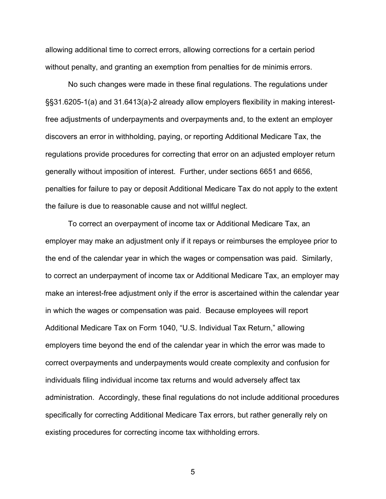allowing additional time to correct errors, allowing corrections for a certain period without penalty, and granting an exemption from penalties for de minimis errors.

No such changes were made in these final regulations. The regulations under §§31.6205-1(a) and 31.6413(a)-2 already allow employers flexibility in making interestfree adjustments of underpayments and overpayments and, to the extent an employer discovers an error in withholding, paying, or reporting Additional Medicare Tax, the regulations provide procedures for correcting that error on an adjusted employer return generally without imposition of interest. Further, under sections 6651 and 6656, penalties for failure to pay or deposit Additional Medicare Tax do not apply to the extent the failure is due to reasonable cause and not willful neglect.

To correct an overpayment of income tax or Additional Medicare Tax, an employer may make an adjustment only if it repays or reimburses the employee prior to the end of the calendar year in which the wages or compensation was paid. Similarly, to correct an underpayment of income tax or Additional Medicare Tax, an employer may make an interest-free adjustment only if the error is ascertained within the calendar year in which the wages or compensation was paid. Because employees will report Additional Medicare Tax on Form 1040, "U.S. Individual Tax Return," allowing employers time beyond the end of the calendar year in which the error was made to correct overpayments and underpayments would create complexity and confusion for individuals filing individual income tax returns and would adversely affect tax administration. Accordingly, these final regulations do not include additional procedures specifically for correcting Additional Medicare Tax errors, but rather generally rely on existing procedures for correcting income tax withholding errors.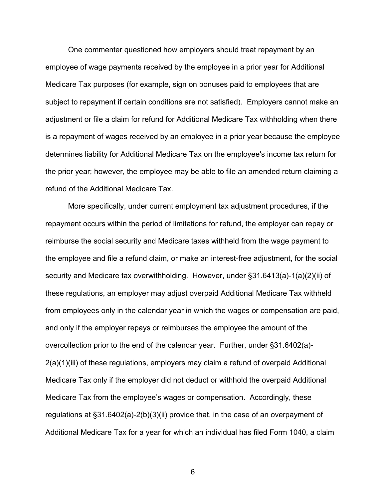One commenter questioned how employers should treat repayment by an employee of wage payments received by the employee in a prior year for Additional Medicare Tax purposes (for example, sign on bonuses paid to employees that are subject to repayment if certain conditions are not satisfied). Employers cannot make an adjustment or file a claim for refund for Additional Medicare Tax withholding when there is a repayment of wages received by an employee in a prior year because the employee determines liability for Additional Medicare Tax on the employee's income tax return for the prior year; however, the employee may be able to file an amended return claiming a refund of the Additional Medicare Tax.

More specifically, under current employment tax adjustment procedures, if the repayment occurs within the period of limitations for refund, the employer can repay or reimburse the social security and Medicare taxes withheld from the wage payment to the employee and file a refund claim, or make an interest-free adjustment, for the social security and Medicare tax overwithholding. However, under §31.6413(a)-1(a)(2)(ii) of these regulations, an employer may adjust overpaid Additional Medicare Tax withheld from employees only in the calendar year in which the wages or compensation are paid, and only if the employer repays or reimburses the employee the amount of the overcollection prior to the end of the calendar year. Further, under §31.6402(a)- 2(a)(1)(iii) of these regulations, employers may claim a refund of overpaid Additional Medicare Tax only if the employer did not deduct or withhold the overpaid Additional Medicare Tax from the employee's wages or compensation. Accordingly, these regulations at §31.6402(a)-2(b)(3)(ii) provide that, in the case of an overpayment of Additional Medicare Tax for a year for which an individual has filed Form 1040, a claim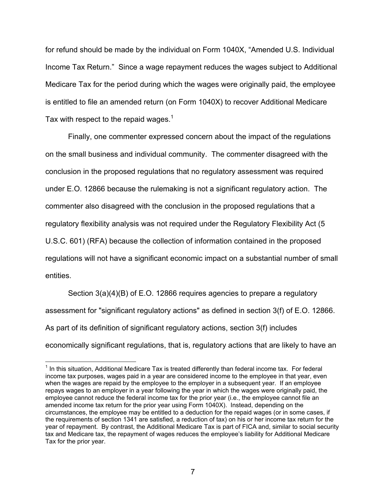for refund should be made by the individual on Form 1040X, "Amended U.S. Individual Income Tax Return." Since a wage repayment reduces the wages subject to Additional Medicare Tax for the period during which the wages were originally paid, the employee is entitled to file an amended return (on Form 1040X) to recover Additional Medicare Tax with respect to the repaid wages.<sup>1</sup>

 Finally, one commenter expressed concern about the impact of the regulations on the small business and individual community. The commenter disagreed with the conclusion in the proposed regulations that no regulatory assessment was required under E.O. 12866 because the rulemaking is not a significant regulatory action. The commenter also disagreed with the conclusion in the proposed regulations that a regulatory flexibility analysis was not required under the Regulatory Flexibility Act (5 U.S.C. 601) (RFA) because the collection of information contained in the proposed regulations will not have a significant economic impact on a substantial number of small entities.

Section 3(a)(4)(B) of E.O. 12866 requires agencies to prepare a regulatory assessment for "significant regulatory actions" as defined in section 3(f) of E.O. 12866. As part of its definition of significant regulatory actions, section 3(f) includes economically significant regulations, that is, regulatory actions that are likely to have an

 $\overline{a}$ 

 $1$  In this situation, Additional Medicare Tax is treated differently than federal income tax. For federal income tax purposes, wages paid in a year are considered income to the employee in that year, even when the wages are repaid by the employee to the employer in a subsequent year. If an employee repays wages to an employer in a year following the year in which the wages were originally paid, the employee cannot reduce the federal income tax for the prior year (i.e., the employee cannot file an amended income tax return for the prior year using Form 1040X). Instead, depending on the circumstances, the employee may be entitled to a deduction for the repaid wages (or in some cases, if the requirements of section 1341 are satisfied, a reduction of tax) on his or her income tax return for the year of repayment. By contrast, the Additional Medicare Tax is part of FICA and, similar to social security tax and Medicare tax, the repayment of wages reduces the employee's liability for Additional Medicare Tax for the prior year.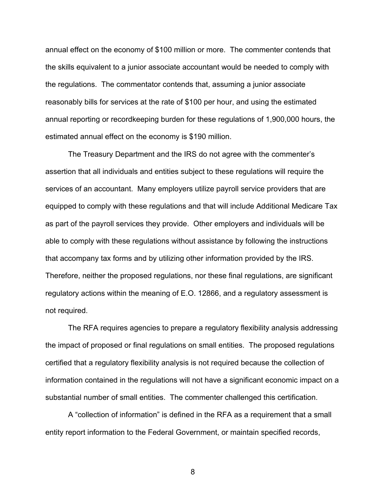annual effect on the economy of \$100 million or more. The commenter contends that the skills equivalent to a junior associate accountant would be needed to comply with the regulations. The commentator contends that, assuming a junior associate reasonably bills for services at the rate of \$100 per hour, and using the estimated annual reporting or recordkeeping burden for these regulations of 1,900,000 hours, the estimated annual effect on the economy is \$190 million.

The Treasury Department and the IRS do not agree with the commenter's assertion that all individuals and entities subject to these regulations will require the services of an accountant. Many employers utilize payroll service providers that are equipped to comply with these regulations and that will include Additional Medicare Tax as part of the payroll services they provide. Other employers and individuals will be able to comply with these regulations without assistance by following the instructions that accompany tax forms and by utilizing other information provided by the IRS. Therefore, neither the proposed regulations, nor these final regulations, are significant regulatory actions within the meaning of E.O. 12866, and a regulatory assessment is not required.

The RFA requires agencies to prepare a regulatory flexibility analysis addressing the impact of proposed or final regulations on small entities. The proposed regulations certified that a regulatory flexibility analysis is not required because the collection of information contained in the regulations will not have a significant economic impact on a substantial number of small entities. The commenter challenged this certification.

A "collection of information" is defined in the RFA as a requirement that a small entity report information to the Federal Government, or maintain specified records,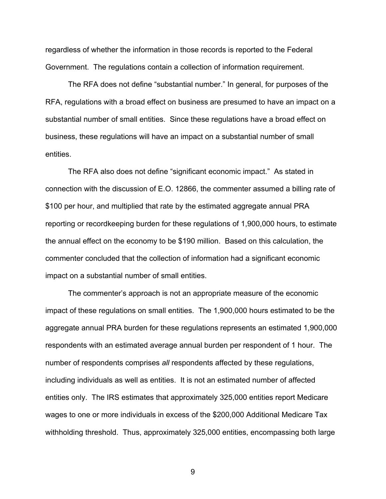regardless of whether the information in those records is reported to the Federal Government. The regulations contain a collection of information requirement.

The RFA does not define "substantial number." In general, for purposes of the RFA, regulations with a broad effect on business are presumed to have an impact on a substantial number of small entities. Since these regulations have a broad effect on business, these regulations will have an impact on a substantial number of small entities.

The RFA also does not define "significant economic impact." As stated in connection with the discussion of E.O. 12866, the commenter assumed a billing rate of \$100 per hour, and multiplied that rate by the estimated aggregate annual PRA reporting or recordkeeping burden for these regulations of 1,900,000 hours, to estimate the annual effect on the economy to be \$190 million. Based on this calculation, the commenter concluded that the collection of information had a significant economic impact on a substantial number of small entities.

The commenter's approach is not an appropriate measure of the economic impact of these regulations on small entities. The 1,900,000 hours estimated to be the aggregate annual PRA burden for these regulations represents an estimated 1,900,000 respondents with an estimated average annual burden per respondent of 1 hour. The number of respondents comprises *all* respondents affected by these regulations, including individuals as well as entities. It is not an estimated number of affected entities only. The IRS estimates that approximately 325,000 entities report Medicare wages to one or more individuals in excess of the \$200,000 Additional Medicare Tax withholding threshold. Thus, approximately 325,000 entities, encompassing both large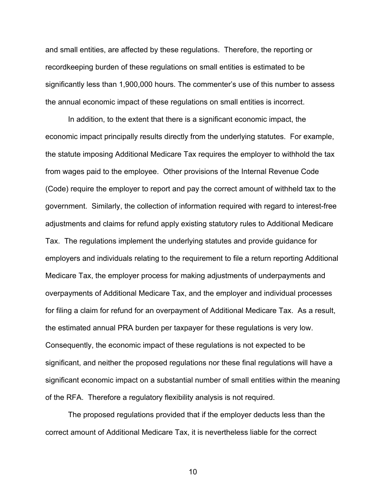and small entities, are affected by these regulations. Therefore, the reporting or recordkeeping burden of these regulations on small entities is estimated to be significantly less than 1,900,000 hours. The commenter's use of this number to assess the annual economic impact of these regulations on small entities is incorrect.

In addition, to the extent that there is a significant economic impact, the economic impact principally results directly from the underlying statutes. For example, the statute imposing Additional Medicare Tax requires the employer to withhold the tax from wages paid to the employee. Other provisions of the Internal Revenue Code (Code) require the employer to report and pay the correct amount of withheld tax to the government. Similarly, the collection of information required with regard to interest-free adjustments and claims for refund apply existing statutory rules to Additional Medicare Tax. The regulations implement the underlying statutes and provide guidance for employers and individuals relating to the requirement to file a return reporting Additional Medicare Tax, the employer process for making adjustments of underpayments and overpayments of Additional Medicare Tax, and the employer and individual processes for filing a claim for refund for an overpayment of Additional Medicare Tax. As a result, the estimated annual PRA burden per taxpayer for these regulations is very low. Consequently, the economic impact of these regulations is not expected to be significant, and neither the proposed regulations nor these final regulations will have a significant economic impact on a substantial number of small entities within the meaning of the RFA. Therefore a regulatory flexibility analysis is not required.

The proposed regulations provided that if the employer deducts less than the correct amount of Additional Medicare Tax, it is nevertheless liable for the correct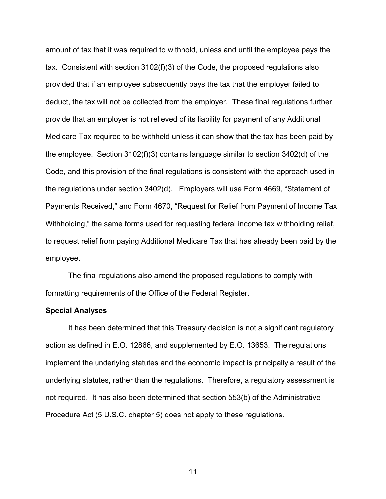amount of tax that it was required to withhold, unless and until the employee pays the tax. Consistent with section 3102(f)(3) of the Code, the proposed regulations also provided that if an employee subsequently pays the tax that the employer failed to deduct, the tax will not be collected from the employer. These final regulations further provide that an employer is not relieved of its liability for payment of any Additional Medicare Tax required to be withheld unless it can show that the tax has been paid by the employee. Section 3102(f)(3) contains language similar to section 3402(d) of the Code, and this provision of the final regulations is consistent with the approach used in the regulations under section 3402(d). Employers will use Form 4669, "Statement of Payments Received," and Form 4670, "Request for Relief from Payment of Income Tax Withholding," the same forms used for requesting federal income tax withholding relief, to request relief from paying Additional Medicare Tax that has already been paid by the employee.

The final regulations also amend the proposed regulations to comply with formatting requirements of the Office of the Federal Register.

#### **Special Analyses**

It has been determined that this Treasury decision is not a significant regulatory action as defined in E.O. 12866, and supplemented by E.O. 13653. The regulations implement the underlying statutes and the economic impact is principally a result of the underlying statutes, rather than the regulations. Therefore, a regulatory assessment is not required. It has also been determined that section 553(b) of the Administrative Procedure Act (5 U.S.C. chapter 5) does not apply to these regulations.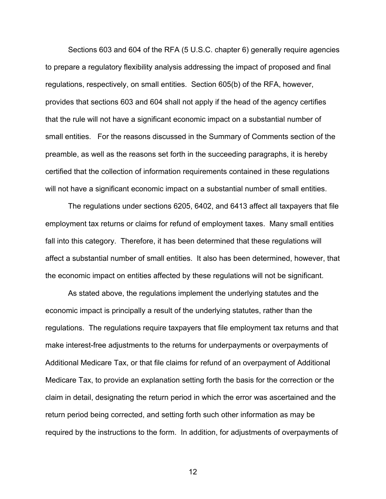Sections 603 and 604 of the RFA (5 U.S.C. chapter 6) generally require agencies to prepare a regulatory flexibility analysis addressing the impact of proposed and final regulations, respectively, on small entities. Section 605(b) of the RFA, however, provides that sections 603 and 604 shall not apply if the head of the agency certifies that the rule will not have a significant economic impact on a substantial number of small entities. For the reasons discussed in the Summary of Comments section of the preamble, as well as the reasons set forth in the succeeding paragraphs, it is hereby certified that the collection of information requirements contained in these regulations will not have a significant economic impact on a substantial number of small entities.

The regulations under sections 6205, 6402, and 6413 affect all taxpayers that file employment tax returns or claims for refund of employment taxes. Many small entities fall into this category. Therefore, it has been determined that these regulations will affect a substantial number of small entities. It also has been determined, however, that the economic impact on entities affected by these regulations will not be significant.

As stated above, the regulations implement the underlying statutes and the economic impact is principally a result of the underlying statutes, rather than the regulations. The regulations require taxpayers that file employment tax returns and that make interest-free adjustments to the returns for underpayments or overpayments of Additional Medicare Tax, or that file claims for refund of an overpayment of Additional Medicare Tax, to provide an explanation setting forth the basis for the correction or the claim in detail, designating the return period in which the error was ascertained and the return period being corrected, and setting forth such other information as may be required by the instructions to the form. In addition, for adjustments of overpayments of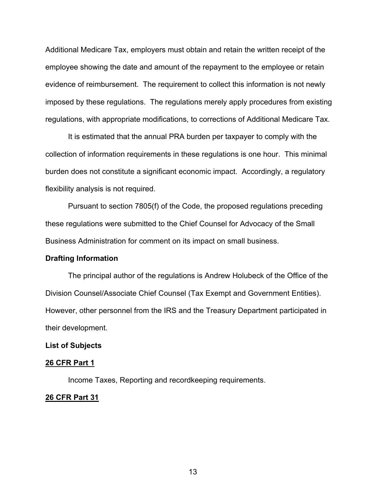Additional Medicare Tax, employers must obtain and retain the written receipt of the employee showing the date and amount of the repayment to the employee or retain evidence of reimbursement. The requirement to collect this information is not newly imposed by these regulations. The regulations merely apply procedures from existing regulations, with appropriate modifications, to corrections of Additional Medicare Tax.

It is estimated that the annual PRA burden per taxpayer to comply with the collection of information requirements in these regulations is one hour. This minimal burden does not constitute a significant economic impact. Accordingly, a regulatory flexibility analysis is not required.

Pursuant to section 7805(f) of the Code, the proposed regulations preceding these regulations were submitted to the Chief Counsel for Advocacy of the Small Business Administration for comment on its impact on small business.

#### **Drafting Information**

 The principal author of the regulations is Andrew Holubeck of the Office of the Division Counsel/Associate Chief Counsel (Tax Exempt and Government Entities). However, other personnel from the IRS and the Treasury Department participated in their development.

### **List of Subjects**

#### **26 CFR Part 1**

Income Taxes, Reporting and recordkeeping requirements.

#### **26 CFR Part 31**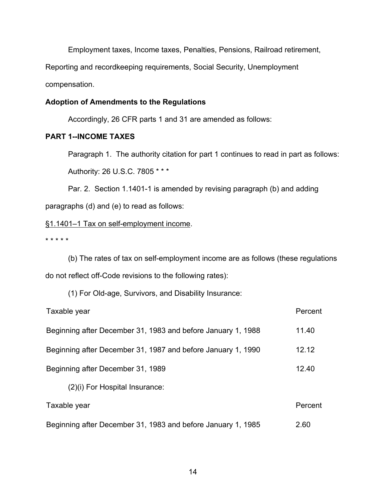Employment taxes, Income taxes, Penalties, Pensions, Railroad retirement,

Reporting and recordkeeping requirements, Social Security, Unemployment

compensation.

### **Adoption of Amendments to the Regulations**

Accordingly, 26 CFR parts 1 and 31 are amended as follows:

# **PART 1--INCOME TAXES**

 Paragraph 1. The authority citation for part 1 continues to read in part as follows: Authority: 26 U.S.C. 7805 \* \* \*

 Par. 2. Section 1.1401-1 is amended by revising paragraph (b) and adding paragraphs (d) and (e) to read as follows:

### §1.1401–1 Tax on self-employment income.

\* \* \* \* \*

 (b) The rates of tax on self-employment income are as follows (these regulations do not reflect off-Code revisions to the following rates):

(1) For Old-age, Survivors, and Disability Insurance:

| Taxable year                                                 | Percent |
|--------------------------------------------------------------|---------|
| Beginning after December 31, 1983 and before January 1, 1988 | 11.40   |
| Beginning after December 31, 1987 and before January 1, 1990 | 12.12   |
| Beginning after December 31, 1989                            | 12.40   |
| (2)(i) For Hospital Insurance:                               |         |
| Taxable year                                                 | Percent |
| Beginning after December 31, 1983 and before January 1, 1985 | 2.60    |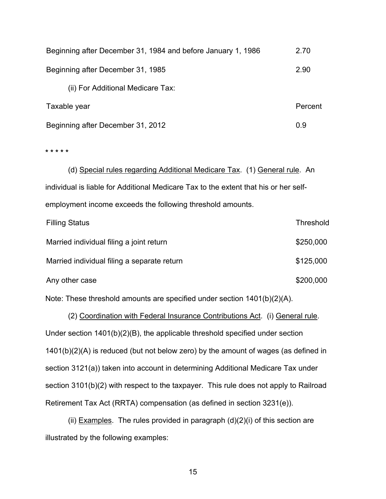Beginning after December 31, 1984 and before January 1, 1986 2.70 Beginning after December 31, 1985 2.90 (ii) For Additional Medicare Tax: Taxable year **Percent** Communication of the extent of the extent of the extent of the extent of the extent of the extent of the extent of the extent of the extent of the extent of the extent of the extent of the extent of Beginning after December 31, 2012 0.9

**\* \* \* \* \*** 

(d) Special rules regarding Additional Medicare Tax. (1) General rule. An individual is liable for Additional Medicare Tax to the extent that his or her selfemployment income exceeds the following threshold amounts.

| <b>Filling Status</b>                       | <b>Threshold</b> |
|---------------------------------------------|------------------|
| Married individual filing a joint return    | \$250,000        |
| Married individual filing a separate return | \$125,000        |
| Any other case                              | \$200,000        |

Note: These threshold amounts are specified under section 1401(b)(2)(A).

(2) Coordination with Federal Insurance Contributions Act. (i) General rule. Under section 1401(b)(2)(B), the applicable threshold specified under section 1401(b)(2)(A) is reduced (but not below zero) by the amount of wages (as defined in section 3121(a)) taken into account in determining Additional Medicare Tax under section 3101(b)(2) with respect to the taxpayer. This rule does not apply to Railroad Retirement Tax Act (RRTA) compensation (as defined in section 3231(e)).

(ii) Examples. The rules provided in paragraph  $(d)(2)(i)$  of this section are illustrated by the following examples: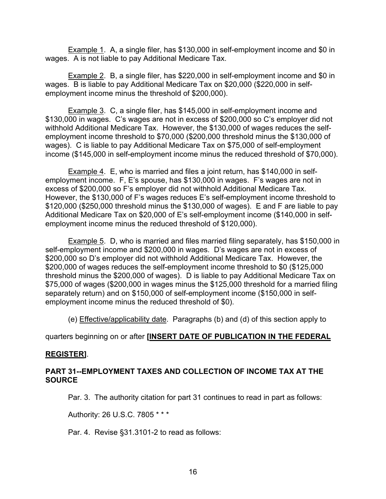Example 1. A, a single filer, has \$130,000 in self-employment income and \$0 in wages. A is not liable to pay Additional Medicare Tax.

Example 2. B, a single filer, has \$220,000 in self-employment income and \$0 in wages. B is liable to pay Additional Medicare Tax on \$20,000 (\$220,000 in selfemployment income minus the threshold of \$200,000).

Example 3. C, a single filer, has \$145,000 in self-employment income and \$130,000 in wages. C's wages are not in excess of \$200,000 so C's employer did not withhold Additional Medicare Tax. However, the \$130,000 of wages reduces the selfemployment income threshold to \$70,000 (\$200,000 threshold minus the \$130,000 of wages). C is liable to pay Additional Medicare Tax on \$75,000 of self-employment income (\$145,000 in self-employment income minus the reduced threshold of \$70,000).

Example 4. E, who is married and files a joint return, has \$140,000 in selfemployment income. F, E's spouse, has \$130,000 in wages. F's wages are not in excess of \$200,000 so F's employer did not withhold Additional Medicare Tax. However, the \$130,000 of F's wages reduces E's self-employment income threshold to \$120,000 (\$250,000 threshold minus the \$130,000 of wages). E and F are liable to pay Additional Medicare Tax on \$20,000 of E's self-employment income (\$140,000 in selfemployment income minus the reduced threshold of \$120,000).

Example 5. D, who is married and files married filing separately, has \$150,000 in self-employment income and \$200,000 in wages. D's wages are not in excess of \$200,000 so D's employer did not withhold Additional Medicare Tax. However, the \$200,000 of wages reduces the self-employment income threshold to \$0 (\$125,000 threshold minus the \$200,000 of wages). D is liable to pay Additional Medicare Tax on \$75,000 of wages (\$200,000 in wages minus the \$125,000 threshold for a married filing separately return) and on \$150,000 of self-employment income (\$150,000 in selfemployment income minus the reduced threshold of \$0).

(e) Effective/applicability date. Paragraphs (b) and (d) of this section apply to

# quarters beginning on or after **[INSERT DATE OF PUBLICATION IN THE FEDERAL**

# **REGISTER]**.

# **PART 31--EMPLOYMENT TAXES AND COLLECTION OF INCOME TAX AT THE SOURCE**

Par. 3. The authority citation for part 31 continues to read in part as follows:

Authority: 26 U.S.C. 7805 \* \* \*

Par. 4. Revise §31.3101-2 to read as follows: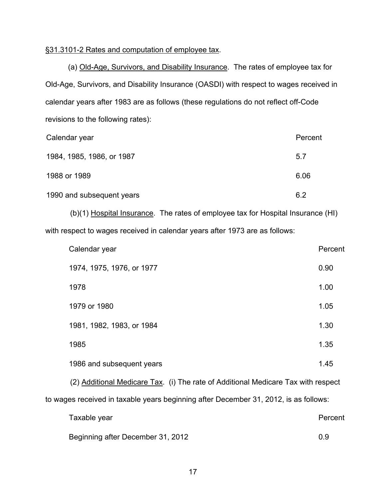### §31.3101-2 Rates and computation of employee tax.

(a) Old-Age, Survivors, and Disability Insurance. The rates of employee tax for Old-Age, Survivors, and Disability Insurance (OASDI) with respect to wages received in calendar years after 1983 are as follows (these regulations do not reflect off-Code revisions to the following rates):

| Calendar year             | Percent |
|---------------------------|---------|
| 1984, 1985, 1986, or 1987 | 5.7     |
| 1988 or 1989              | 6.06    |
| 1990 and subsequent years | 6.2     |

 (b)(1) Hospital Insurance. The rates of employee tax for Hospital Insurance (HI) with respect to wages received in calendar years after 1973 are as follows:

| Calendar year                                                                     | Percent |  |
|-----------------------------------------------------------------------------------|---------|--|
| 1974, 1975, 1976, or 1977                                                         | 0.90    |  |
| 1978                                                                              | 1.00    |  |
| 1979 or 1980                                                                      | 1.05    |  |
| 1981, 1982, 1983, or 1984                                                         | 1.30    |  |
| 1985                                                                              | 1.35    |  |
| 1986 and subsequent years                                                         | 1.45    |  |
| (2) Additional Medicare Tax. (i) The rate of Additional Medicare Tax with respect |         |  |

to wages received in taxable years beginning after December 31, 2012, is as follows:

| Taxable year | Percent |
|--------------|---------|
|              |         |
|              |         |

Beginning after December 31, 2012 0.9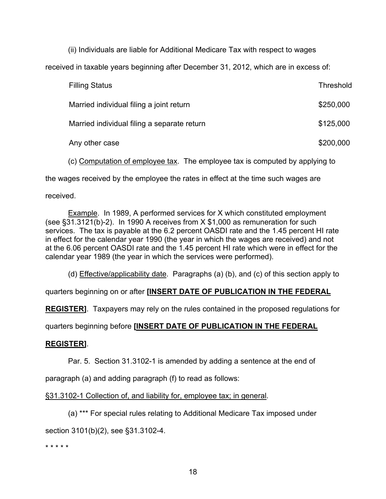(ii) Individuals are liable for Additional Medicare Tax with respect to wages

received in taxable years beginning after December 31, 2012, which are in excess of:

| <b>Filling Status</b>                       | <b>Threshold</b> |
|---------------------------------------------|------------------|
| Married individual filing a joint return    | \$250,000        |
| Married individual filing a separate return | \$125,000        |
| Any other case                              | \$200,000        |

(c) Computation of employee tax. The employee tax is computed by applying to

the wages received by the employee the rates in effect at the time such wages are

received.

 Example. In 1989, A performed services for X which constituted employment (see §31.3121(b)-2). In 1990 A receives from X \$1,000 as remuneration for such services. The tax is payable at the 6.2 percent OASDI rate and the 1.45 percent HI rate in effect for the calendar year 1990 (the year in which the wages are received) and not at the 6.06 percent OASDI rate and the 1.45 percent HI rate which were in effect for the calendar year 1989 (the year in which the services were performed).

(d) Effective/applicability date. Paragraphs (a) (b), and (c) of this section apply to

quarters beginning on or after **[INSERT DATE OF PUBLICATION IN THE FEDERAL** 

**REGISTER]**. Taxpayers may rely on the rules contained in the proposed regulations for

quarters beginning before **[INSERT DATE OF PUBLICATION IN THE FEDERAL** 

# **REGISTER]**.

Par. 5. Section 31.3102-1 is amended by adding a sentence at the end of

paragraph (a) and adding paragraph (f) to read as follows:

§31.3102-1 Collection of, and liability for, employee tax; in general.

(a) \*\*\* For special rules relating to Additional Medicare Tax imposed under

section 3101(b)(2), see §31.3102-4.

\* \* \* \* \*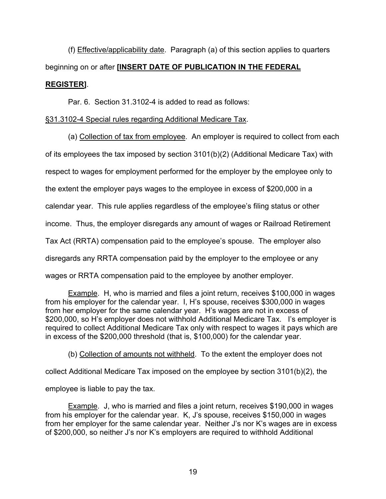(f) Effective/applicability date. Paragraph (a) of this section applies to quarters beginning on or after **[INSERT DATE OF PUBLICATION IN THE FEDERAL REGISTER]**.

Par. 6. Section 31.3102-4 is added to read as follows:

# §31.3102-4 Special rules regarding Additional Medicare Tax.

 (a) Collection of tax from employee. An employer is required to collect from each of its employees the tax imposed by section 3101(b)(2) (Additional Medicare Tax) with respect to wages for employment performed for the employer by the employee only to the extent the employer pays wages to the employee in excess of \$200,000 in a calendar year. This rule applies regardless of the employee's filing status or other income. Thus, the employer disregards any amount of wages or Railroad Retirement Tax Act (RRTA) compensation paid to the employee's spouse. The employer also disregards any RRTA compensation paid by the employer to the employee or any wages or RRTA compensation paid to the employee by another employer.

Example. H, who is married and files a joint return, receives \$100,000 in wages from his employer for the calendar year. I, H's spouse, receives \$300,000 in wages from her employer for the same calendar year. H's wages are not in excess of \$200,000, so H's employer does not withhold Additional Medicare Tax. I's employer is required to collect Additional Medicare Tax only with respect to wages it pays which are in excess of the \$200,000 threshold (that is, \$100,000) for the calendar year.

(b) Collection of amounts not withheld. To the extent the employer does not

collect Additional Medicare Tax imposed on the employee by section 3101(b)(2), the

employee is liable to pay the tax.

 Example. J, who is married and files a joint return, receives \$190,000 in wages from his employer for the calendar year. K, J's spouse, receives \$150,000 in wages from her employer for the same calendar year. Neither J's nor K's wages are in excess of \$200,000, so neither J's nor K's employers are required to withhold Additional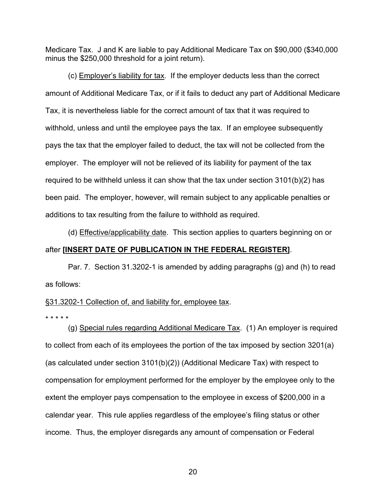Medicare Tax. J and K are liable to pay Additional Medicare Tax on \$90,000 (\$340,000 minus the \$250,000 threshold for a joint return).

 (c) Employer's liability for tax. If the employer deducts less than the correct amount of Additional Medicare Tax, or if it fails to deduct any part of Additional Medicare Tax, it is nevertheless liable for the correct amount of tax that it was required to withhold, unless and until the employee pays the tax. If an employee subsequently pays the tax that the employer failed to deduct, the tax will not be collected from the employer. The employer will not be relieved of its liability for payment of the tax required to be withheld unless it can show that the tax under section 3101(b)(2) has been paid. The employer, however, will remain subject to any applicable penalties or additions to tax resulting from the failure to withhold as required.

 (d) Effective/applicability date. This section applies to quarters beginning on or after **[INSERT DATE OF PUBLICATION IN THE FEDERAL REGISTER]**.

Par. 7. Section 31.3202-1 is amended by adding paragraphs (g) and (h) to read as follows:

### §31.3202-1 Collection of, and liability for, employee tax.

\* \* \* \* \*

 (g) Special rules regarding Additional Medicare Tax. (1) An employer is required to collect from each of its employees the portion of the tax imposed by section 3201(a) (as calculated under section 3101(b)(2)) (Additional Medicare Tax) with respect to compensation for employment performed for the employer by the employee only to the extent the employer pays compensation to the employee in excess of \$200,000 in a calendar year. This rule applies regardless of the employee's filing status or other income. Thus, the employer disregards any amount of compensation or Federal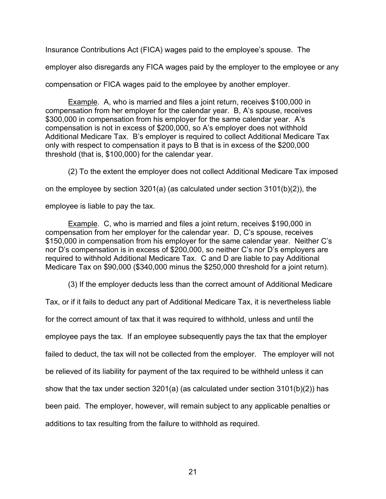Insurance Contributions Act (FICA) wages paid to the employee's spouse. The

employer also disregards any FICA wages paid by the employer to the employee or any

compensation or FICA wages paid to the employee by another employer.

Example. A, who is married and files a joint return, receives \$100,000 in compensation from her employer for the calendar year. B, A's spouse, receives \$300,000 in compensation from his employer for the same calendar year. A's compensation is not in excess of \$200,000, so A's employer does not withhold Additional Medicare Tax. B's employer is required to collect Additional Medicare Tax only with respect to compensation it pays to B that is in excess of the \$200,000 threshold (that is, \$100,000) for the calendar year.

(2) To the extent the employer does not collect Additional Medicare Tax imposed

on the employee by section 3201(a) (as calculated under section  $3101(b)(2)$ ), the

employee is liable to pay the tax.

Example. C, who is married and files a joint return, receives \$190,000 in compensation from her employer for the calendar year. D, C's spouse, receives \$150,000 in compensation from his employer for the same calendar year. Neither C's nor D's compensation is in excess of \$200,000, so neither C's nor D's employers are required to withhold Additional Medicare Tax. C and D are liable to pay Additional Medicare Tax on \$90,000 (\$340,000 minus the \$250,000 threshold for a joint return).

(3) If the employer deducts less than the correct amount of Additional Medicare

Tax, or if it fails to deduct any part of Additional Medicare Tax, it is nevertheless liable

for the correct amount of tax that it was required to withhold, unless and until the

employee pays the tax. If an employee subsequently pays the tax that the employer

failed to deduct, the tax will not be collected from the employer. The employer will not

be relieved of its liability for payment of the tax required to be withheld unless it can

show that the tax under section 3201(a) (as calculated under section 3101(b)(2)) has

been paid. The employer, however, will remain subject to any applicable penalties or

additions to tax resulting from the failure to withhold as required.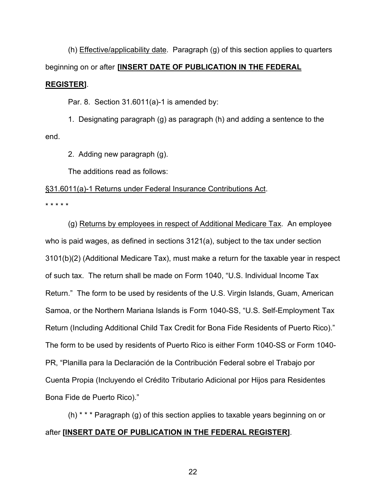(h) Effective/applicability date. Paragraph (g) of this section applies to quarters beginning on or after **[INSERT DATE OF PUBLICATION IN THE FEDERAL REGISTER]**.

Par. 8. Section 31.6011(a)-1 is amended by:

1. Designating paragraph (g) as paragraph (h) and adding a sentence to the end.

2. Adding new paragraph (g).

The additions read as follows:

# §31.6011(a)-1 Returns under Federal Insurance Contributions Act.

\* \* \* \* \*

 (g) Returns by employees in respect of Additional Medicare Tax. An employee who is paid wages, as defined in sections 3121(a), subject to the tax under section 3101(b)(2) (Additional Medicare Tax), must make a return for the taxable year in respect of such tax. The return shall be made on Form 1040, "U.S. Individual Income Tax Return." The form to be used by residents of the U.S. Virgin Islands, Guam, American Samoa, or the Northern Mariana Islands is Form 1040-SS, "U.S. Self-Employment Tax Return (Including Additional Child Tax Credit for Bona Fide Residents of Puerto Rico)." The form to be used by residents of Puerto Rico is either Form 1040-SS or Form 1040- PR, "Planilla para la Declaración de la Contribución Federal sobre el Trabajo por Cuenta Propia (Incluyendo el Crédito Tributario Adicional por Hijos para Residentes Bona Fide de Puerto Rico)."

 (h) \* \* \* Paragraph (g) of this section applies to taxable years beginning on or after **[INSERT DATE OF PUBLICATION IN THE FEDERAL REGISTER]**.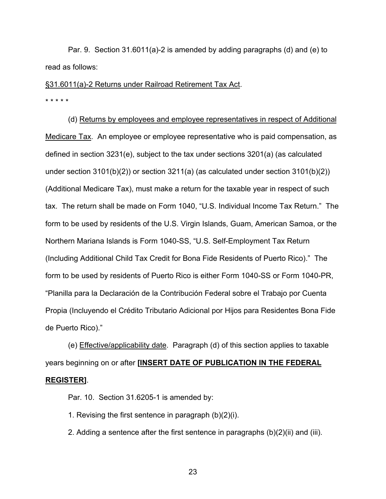Par. 9. Section 31.6011(a)-2 is amended by adding paragraphs (d) and (e) to read as follows:

# §31.6011(a)-2 Returns under Railroad Retirement Tax Act.

\* \* \* \* \*

 (d) Returns by employees and employee representatives in respect of Additional Medicare Tax. An employee or employee representative who is paid compensation, as defined in section 3231(e), subject to the tax under sections 3201(a) (as calculated under section 3101(b)(2)) or section 3211(a) (as calculated under section 3101(b)(2)) (Additional Medicare Tax), must make a return for the taxable year in respect of such tax. The return shall be made on Form 1040, "U.S. Individual Income Tax Return." The form to be used by residents of the U.S. Virgin Islands, Guam, American Samoa, or the Northern Mariana Islands is Form 1040-SS, "U.S. Self-Employment Tax Return (Including Additional Child Tax Credit for Bona Fide Residents of Puerto Rico)." The form to be used by residents of Puerto Rico is either Form 1040-SS or Form 1040-PR, "Planilla para la Declaración de la Contribución Federal sobre el Trabajo por Cuenta Propia (Incluyendo el Crédito Tributario Adicional por Hijos para Residentes Bona Fide de Puerto Rico)."

 (e) Effective/applicability date. Paragraph (d) of this section applies to taxable years beginning on or after **[INSERT DATE OF PUBLICATION IN THE FEDERAL REGISTER]**.

Par. 10. Section 31.6205-1 is amended by:

1. Revising the first sentence in paragraph (b)(2)(i).

2. Adding a sentence after the first sentence in paragraphs (b)(2)(ii) and (iii).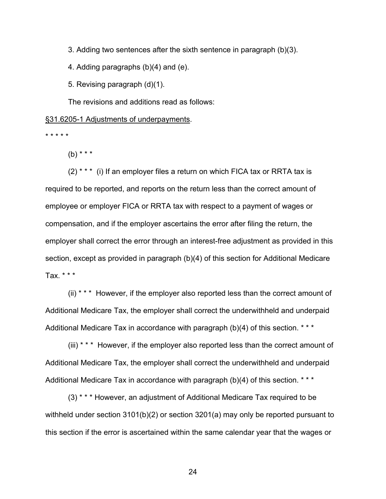3. Adding two sentences after the sixth sentence in paragraph (b)(3).

4. Adding paragraphs (b)(4) and (e).

5. Revising paragraph (d)(1).

The revisions and additions read as follows:

### §31.6205-1 Adjustments of underpayments.

\* \* \* \* \*

 $(b)$  \* \* \*

 $(2)$ <sup>\*\*\*</sup> (i) If an employer files a return on which FICA tax or RRTA tax is required to be reported, and reports on the return less than the correct amount of employee or employer FICA or RRTA tax with respect to a payment of wages or compensation, and if the employer ascertains the error after filing the return, the employer shall correct the error through an interest-free adjustment as provided in this section, except as provided in paragraph (b)(4) of this section for Additional Medicare Tax. \* \* \*

 (ii) \* \* \* However, if the employer also reported less than the correct amount of Additional Medicare Tax, the employer shall correct the underwithheld and underpaid Additional Medicare Tax in accordance with paragraph (b)(4) of this section. \*\*\*

 (iii) \* \* \* However, if the employer also reported less than the correct amount of Additional Medicare Tax, the employer shall correct the underwithheld and underpaid Additional Medicare Tax in accordance with paragraph (b)(4) of this section. \*\*\*

 (3) \* \* \* However, an adjustment of Additional Medicare Tax required to be withheld under section 3101(b)(2) or section 3201(a) may only be reported pursuant to this section if the error is ascertained within the same calendar year that the wages or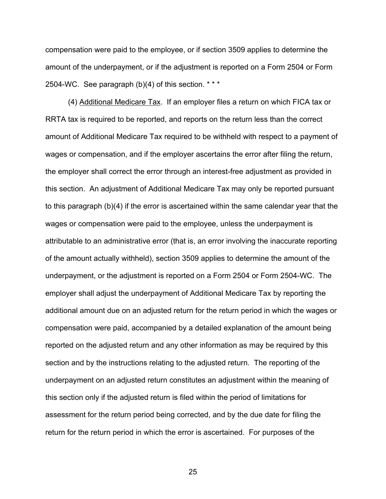compensation were paid to the employee, or if section 3509 applies to determine the amount of the underpayment, or if the adjustment is reported on a Form 2504 or Form 2504-WC. See paragraph (b)(4) of this section. \* \* \*

 (4) Additional Medicare Tax. If an employer files a return on which FICA tax or RRTA tax is required to be reported, and reports on the return less than the correct amount of Additional Medicare Tax required to be withheld with respect to a payment of wages or compensation, and if the employer ascertains the error after filing the return, the employer shall correct the error through an interest-free adjustment as provided in this section. An adjustment of Additional Medicare Tax may only be reported pursuant to this paragraph (b)(4) if the error is ascertained within the same calendar year that the wages or compensation were paid to the employee, unless the underpayment is attributable to an administrative error (that is, an error involving the inaccurate reporting of the amount actually withheld), section 3509 applies to determine the amount of the underpayment, or the adjustment is reported on a Form 2504 or Form 2504-WC. The employer shall adjust the underpayment of Additional Medicare Tax by reporting the additional amount due on an adjusted return for the return period in which the wages or compensation were paid, accompanied by a detailed explanation of the amount being reported on the adjusted return and any other information as may be required by this section and by the instructions relating to the adjusted return. The reporting of the underpayment on an adjusted return constitutes an adjustment within the meaning of this section only if the adjusted return is filed within the period of limitations for assessment for the return period being corrected, and by the due date for filing the return for the return period in which the error is ascertained. For purposes of the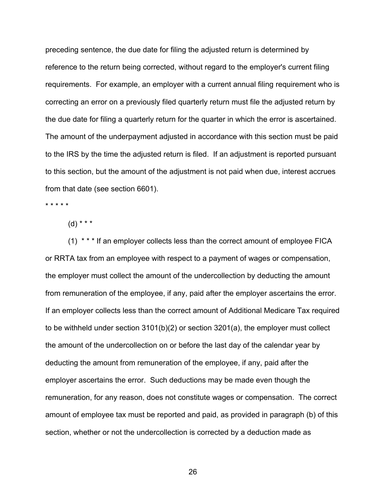preceding sentence, the due date for filing the adjusted return is determined by reference to the return being corrected, without regard to the employer's current filing requirements. For example, an employer with a current annual filing requirement who is correcting an error on a previously filed quarterly return must file the adjusted return by the due date for filing a quarterly return for the quarter in which the error is ascertained. The amount of the underpayment adjusted in accordance with this section must be paid to the IRS by the time the adjusted return is filed. If an adjustment is reported pursuant to this section, but the amount of the adjustment is not paid when due, interest accrues from that date (see section 6601).

\* \* \* \* \*

 $(d)$  \* \* \*

(1) \* \* \* If an employer collects less than the correct amount of employee FICA or RRTA tax from an employee with respect to a payment of wages or compensation, the employer must collect the amount of the undercollection by deducting the amount from remuneration of the employee, if any, paid after the employer ascertains the error. If an employer collects less than the correct amount of Additional Medicare Tax required to be withheld under section 3101(b)(2) or section 3201(a), the employer must collect the amount of the undercollection on or before the last day of the calendar year by deducting the amount from remuneration of the employee, if any, paid after the employer ascertains the error. Such deductions may be made even though the remuneration, for any reason, does not constitute wages or compensation. The correct amount of employee tax must be reported and paid, as provided in paragraph (b) of this section, whether or not the undercollection is corrected by a deduction made as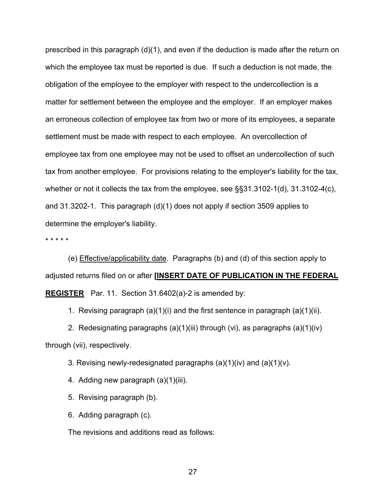prescribed in this paragraph  $(d)(1)$ , and even if the deduction is made after the return on which the employee tax must be reported is due. If such a deduction is not made, the obligation of the employee to the employer with respect to the undercollection is a matter for settlement between the employee and the employer. If an employer makes an erroneous collection of employee tax from two or more of its employees, a separate settlement must be made with respect to each employee. An overcollection of employee tax from one employee may not be used to offset an undercollection of such tax from another employee. For provisions relating to the employer's liability for the tax, whether or not it collects the tax from the employee, see §§31.3102-1(d), 31.3102-4(c), and 31.3202-1. This paragraph (d)(1) does not apply if section 3509 applies to determine the employer's liability.

\* \* \* \* \*

 (e) Effective/applicability date. Paragraphs (b) and (d) of this section apply to adjusted returns filed on or after **[INSERT DATE OF PUBLICATION IN THE FEDERAL REGISTER** Par. 11. Section 31.6402(a)-2 is amended by:

1. Revising paragraph  $(a)(1)(i)$  and the first sentence in paragraph  $(a)(1)(ii)$ .

 2. Redesignating paragraphs (a)(1)(iii) through (vi), as paragraphs (a)(1)(iv) through (vii), respectively.

3. Revising newly-redesignated paragraphs  $(a)(1)(iv)$  and  $(a)(1)(v)$ .

4. Adding new paragraph (a)(1)(iii).

- 5. Revising paragraph (b).
- 6. Adding paragraph (c).

The revisions and additions read as follows: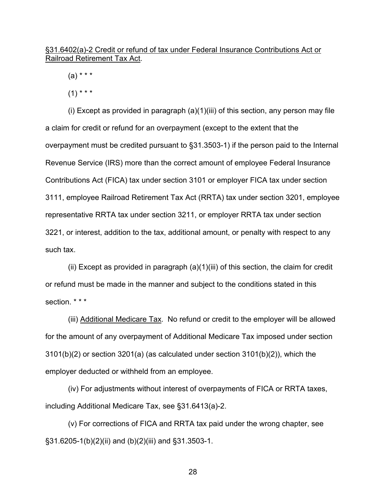§31.6402(a)-2 Credit or refund of tax under Federal Insurance Contributions Act or Railroad Retirement Tax Act.

 $(a) * * * *$ 

 $(1)$  \* \* \*

 (i) Except as provided in paragraph (a)(1)(iii) of this section, any person may file a claim for credit or refund for an overpayment (except to the extent that the overpayment must be credited pursuant to §31.3503-1) if the person paid to the Internal Revenue Service (IRS) more than the correct amount of employee Federal Insurance Contributions Act (FICA) tax under section 3101 or employer FICA tax under section 3111, employee Railroad Retirement Tax Act (RRTA) tax under section 3201, employee representative RRTA tax under section 3211, or employer RRTA tax under section 3221, or interest, addition to the tax, additional amount, or penalty with respect to any such tax.

 (ii) Except as provided in paragraph (a)(1)(iii) of this section, the claim for credit or refund must be made in the manner and subject to the conditions stated in this section. \* \* \*

 (iii) Additional Medicare Tax. No refund or credit to the employer will be allowed for the amount of any overpayment of Additional Medicare Tax imposed under section 3101(b)(2) or section 3201(a) (as calculated under section 3101(b)(2)), which the employer deducted or withheld from an employee.

 (iv) For adjustments without interest of overpayments of FICA or RRTA taxes, including Additional Medicare Tax, see §31.6413(a)-2.

 (v) For corrections of FICA and RRTA tax paid under the wrong chapter, see §31.6205-1(b)(2)(ii) and (b)(2)(iii) and §31.3503-1.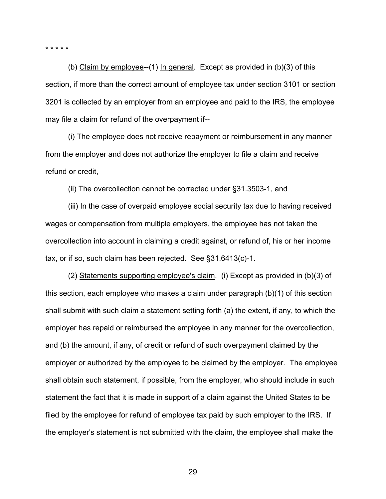\* \* \* \* \*

 (b) Claim by employee--(1) In general. Except as provided in (b)(3) of this section, if more than the correct amount of employee tax under section 3101 or section 3201 is collected by an employer from an employee and paid to the IRS, the employee may file a claim for refund of the overpayment if--

 (i) The employee does not receive repayment or reimbursement in any manner from the employer and does not authorize the employer to file a claim and receive refund or credit,

(ii) The overcollection cannot be corrected under §31.3503-1, and

 (iii) In the case of overpaid employee social security tax due to having received wages or compensation from multiple employers, the employee has not taken the overcollection into account in claiming a credit against, or refund of, his or her income tax, or if so, such claim has been rejected. See §31.6413(c)-1.

 (2) Statements supporting employee's claim. (i) Except as provided in (b)(3) of this section, each employee who makes a claim under paragraph (b)(1) of this section shall submit with such claim a statement setting forth (a) the extent, if any, to which the employer has repaid or reimbursed the employee in any manner for the overcollection, and (b) the amount, if any, of credit or refund of such overpayment claimed by the employer or authorized by the employee to be claimed by the employer. The employee shall obtain such statement, if possible, from the employer, who should include in such statement the fact that it is made in support of a claim against the United States to be filed by the employee for refund of employee tax paid by such employer to the IRS. If the employer's statement is not submitted with the claim, the employee shall make the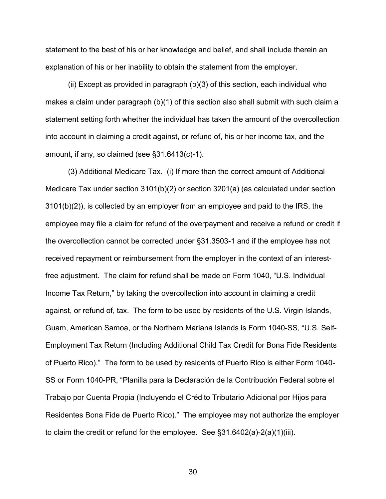statement to the best of his or her knowledge and belief, and shall include therein an explanation of his or her inability to obtain the statement from the employer.

 (ii) Except as provided in paragraph (b)(3) of this section, each individual who makes a claim under paragraph (b)(1) of this section also shall submit with such claim a statement setting forth whether the individual has taken the amount of the overcollection into account in claiming a credit against, or refund of, his or her income tax, and the amount, if any, so claimed (see §31.6413(c)-1).

 (3) Additional Medicare Tax. (i) If more than the correct amount of Additional Medicare Tax under section 3101(b)(2) or section 3201(a) (as calculated under section 3101(b)(2)), is collected by an employer from an employee and paid to the IRS, the employee may file a claim for refund of the overpayment and receive a refund or credit if the overcollection cannot be corrected under §31.3503-1 and if the employee has not received repayment or reimbursement from the employer in the context of an interestfree adjustment. The claim for refund shall be made on Form 1040, "U.S. Individual Income Tax Return," by taking the overcollection into account in claiming a credit against, or refund of, tax. The form to be used by residents of the U.S. Virgin Islands, Guam, American Samoa, or the Northern Mariana Islands is Form 1040-SS, "U.S. Self-Employment Tax Return (Including Additional Child Tax Credit for Bona Fide Residents of Puerto Rico)." The form to be used by residents of Puerto Rico is either Form 1040- SS or Form 1040-PR, "Planilla para la Declaración de la Contribución Federal sobre el Trabajo por Cuenta Propia (Incluyendo el Crédito Tributario Adicional por Hijos para Residentes Bona Fide de Puerto Rico)." The employee may not authorize the employer to claim the credit or refund for the employee. See §31.6402(a)-2(a)(1)(iii).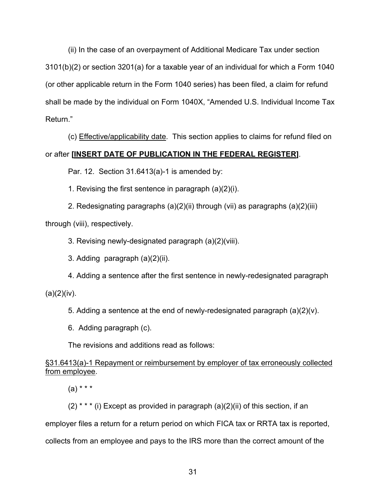(ii) In the case of an overpayment of Additional Medicare Tax under section 3101(b)(2) or section 3201(a) for a taxable year of an individual for which a Form 1040 (or other applicable return in the Form 1040 series) has been filed, a claim for refund shall be made by the individual on Form 1040X, "Amended U.S. Individual Income Tax Return."

 (c) Effective/applicability date. This section applies to claims for refund filed on or after **[INSERT DATE OF PUBLICATION IN THE FEDERAL REGISTER]**.

Par. 12. Section 31.6413(a)-1 is amended by:

1. Revising the first sentence in paragraph (a)(2)(i).

2. Redesignating paragraphs (a)(2)(ii) through (vii) as paragraphs (a)(2)(iii)

through (viii), respectively.

3. Revising newly-designated paragraph (a)(2)(viii).

3. Adding paragraph (a)(2)(ii).

4. Adding a sentence after the first sentence in newly-redesignated paragraph  $(a)(2)(iv).$ 

5. Adding a sentence at the end of newly-redesignated paragraph (a)(2)(v).

6. Adding paragraph (c).

The revisions and additions read as follows:

# §31.6413(a)-1 Repayment or reimbursement by employer of tax erroneously collected from employee.

 $(a) * * * *$ 

 $(2)$ <sup>\*\*\*</sup> (i) Except as provided in paragraph  $(a)(2)(ii)$  of this section, if an

employer files a return for a return period on which FICA tax or RRTA tax is reported,

collects from an employee and pays to the IRS more than the correct amount of the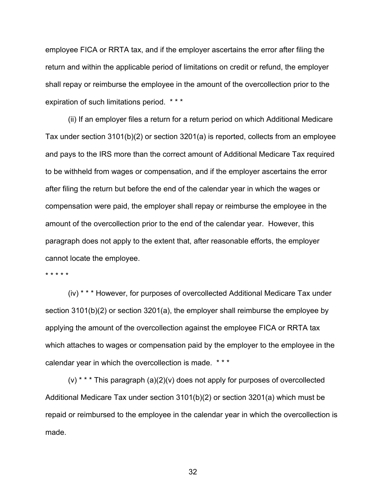employee FICA or RRTA tax, and if the employer ascertains the error after filing the return and within the applicable period of limitations on credit or refund, the employer shall repay or reimburse the employee in the amount of the overcollection prior to the expiration of such limitations period. \* \* \*

 (ii) If an employer files a return for a return period on which Additional Medicare Tax under section 3101(b)(2) or section 3201(a) is reported, collects from an employee and pays to the IRS more than the correct amount of Additional Medicare Tax required to be withheld from wages or compensation, and if the employer ascertains the error after filing the return but before the end of the calendar year in which the wages or compensation were paid, the employer shall repay or reimburse the employee in the amount of the overcollection prior to the end of the calendar year. However, this paragraph does not apply to the extent that, after reasonable efforts, the employer cannot locate the employee.

\* \* \* \* \*

 (iv) \* \* \* However, for purposes of overcollected Additional Medicare Tax under section 3101(b)(2) or section 3201(a), the employer shall reimburse the employee by applying the amount of the overcollection against the employee FICA or RRTA tax which attaches to wages or compensation paid by the employer to the employee in the calendar year in which the overcollection is made. \* \* \*

 (v) \* \* \* This paragraph (a)(2)(v) does not apply for purposes of overcollected Additional Medicare Tax under section 3101(b)(2) or section 3201(a) which must be repaid or reimbursed to the employee in the calendar year in which the overcollection is made.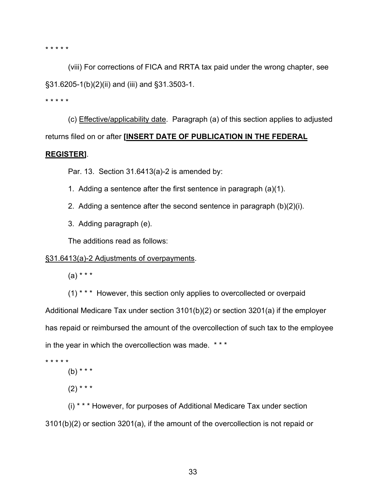\* \* \* \* \*

 (viii) For corrections of FICA and RRTA tax paid under the wrong chapter, see §31.6205-1(b)(2)(ii) and (iii) and §31.3503-1.

\* \* \* \* \*

 (c) Effective/applicability date. Paragraph (a) of this section applies to adjusted returns filed on or after **[INSERT DATE OF PUBLICATION IN THE FEDERAL** 

### **REGISTER]**.

Par. 13. Section 31.6413(a)-2 is amended by:

- 1. Adding a sentence after the first sentence in paragraph (a)(1).
- 2. Adding a sentence after the second sentence in paragraph (b)(2)(i).
- 3. Adding paragraph (e).

The additions read as follows:

# §31.6413(a)-2 Adjustments of overpayments.

 $(a) * * * *$ 

(1) \* \* \* However, this section only applies to overcollected or overpaid Additional Medicare Tax under section 3101(b)(2) or section 3201(a) if the employer has repaid or reimbursed the amount of the overcollection of such tax to the employee in the year in which the overcollection was made. \* \* \*

\* \* \* \* \*

 $(b)$  \* \* \*

 $(2)$  \* \* \*

(i) \* \* \* However, for purposes of Additional Medicare Tax under section 3101(b)(2) or section 3201(a), if the amount of the overcollection is not repaid or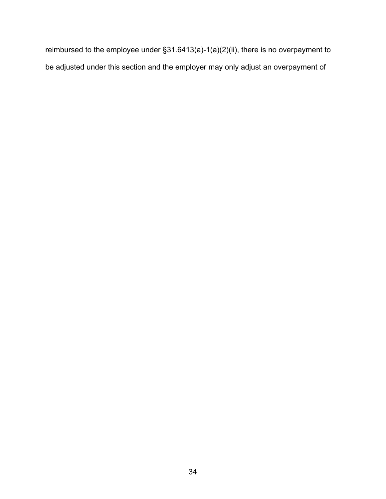reimbursed to the employee under §31.6413(a)-1(a)(2)(ii), there is no overpayment to be adjusted under this section and the employer may only adjust an overpayment of